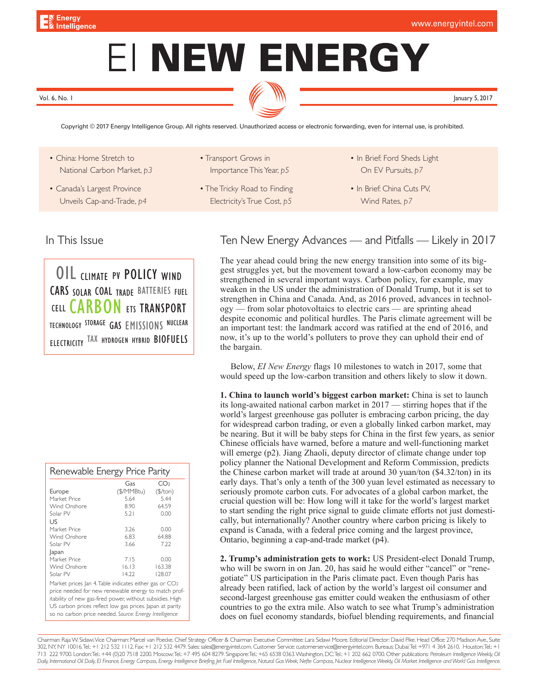# EI NEW ENERGY

Vol. 6, No. 1 January 5, 2017

[Copyright © 2017 Energy Intelligence Group. All rights reserved. Unauthorized access or electronic forwarding, even for internal use, is prohibited.](http://www.energyintel.com/pages/about_new.aspx)

- China: Home Stretch to National Carbon Market, *p3*
- **Printing** • Canada's Largest Province Unveils Cap-and-Trade, *p4*

• Transport Grows in Importance This Year, *p5*

- The Tricky Road to Finding Electricity's True Cost, *p5*
- In Brief: Ford Sheds Light On EV Pursuits, *p7*
- In Brief: China Cuts PV, Wind Rates, *p7*

OIL CLIMATE PV POLICY WIND CARS SOLAR COAL TRADE BATTERIES FUEL CELL CARBON ETS TRANSPORT TECHNOLOGY STORAGE GAS EMISSIONS NUCLEAR ELECTRICITY TAX HYDROGEN HYBRID BIOFUELS

# In This Issue **Ten New Energy Advances** — and Pitfalls — Likely in 2017

The year ahead could bring the new energy transition into some of its biggest struggles yet, but the movement toward a low-carbon economy may be strengthened in several important ways. Carbon policy, for example, may weaken in the US under the administration of Donald Trump, but it is set to strengthen in China and Canada. And, as 2016 proved, advances in technology — from solar photovoltaics to electric cars — are sprinting ahead despite economic and political hurdles. The Paris climate agreement will be an important test: the landmark accord was ratified at the end of 2016, and now, it's up to the world's polluters to prove they can uphold their end of the bargain.

Below, *EI New Energy* flags 10 milestones to watch in 2017, some that would speed up the low-carbon transition and others likely to slow it down.

**1. China to launch world's biggest carbon market:** China is set to launch its long-awaited national carbon market in 2017 — stirring hopes that if the world's largest greenhouse gas polluter is embracing carbon pricing, the day for widespread carbon trading, or even a globally linked carbon market, may be nearing. But it will be baby steps for China in the first few years, as senior Chinese officials have warned, before a mature and well-functioning market will emerge (p2). Jiang Zhaoli, deputy director of climate change under top policy planner the National Development and Reform Commission, predicts the Chinese carbon market will trade at around 30 yuan/ton (\$4.32/ton) in its early days. That's only a tenth of the 300 yuan level estimated as necessary to seriously promote carbon cuts. For advocates of a global carbon market, the crucial question will be: How long will it take for the world's largest market to start sending the right price signal to guide climate efforts not just domestically, but internationally? Another country where carbon pricing is likely to expand is Canada, with a federal price coming and the largest province, Ontario, beginning a cap-and-trade market (p4).

**2. Trump's administration gets to work:** US President-elect Donald Trump, who will be sworn in on Jan. 20, has said he would either "cancel" or "renegotiate" US participation in the Paris climate pact. Even though Paris has already been ratified, lack of action by the world's largest oil consumer and second-largest greenhouse gas emitter could weaken the enthusiasm of other countries to go the extra mile. Also watch to see what Trump's administration does on fuel economy standards, biofuel blending requirements, and financial

Chairman: Raja W. Sidawi. Vice Chairman: Marcel van Poecke. Chief Strategy Officer & Chairman Executive Committee: Lara Sidawi Moore. Editorial Director: David Pike. Head Office: 270 Madison Ave., Suite 302, NY, NY 10016. Tel.: +1 212 532 1112. Fax: +1 212 532 4479. Sales: sales@energyintel.com. Customer Service: customerservice@energyintel.com. Bureaus: Dubai: Tel: +971 4 364 2610. Houston: Tel.: +1 713 222 9700. London: Tel.: +44 (0)20 7518 2200. Moscow: Tel.: +7 495 604 8279. Singapore: Tel.: +65 6538 0363. Washington, DC: Tel.: +1 202 662 0700. Other publications: *Petroleum Intelligence Weekly, Oil*  Daily, International Oil Daily, El Finance, Energy Compass, Energy Intelligence Briefing, Jet Fuel Intelligence, Natural Gas Week, Nefte Compass, Nudear Intelligence Weekly, Oil Market Intelligence and World Gas Intelligen

| Renewable Energy Price Parity                             |            |                 |  |  |
|-----------------------------------------------------------|------------|-----------------|--|--|
|                                                           | Gas        | CO <sub>2</sub> |  |  |
| Europe                                                    | (\$/MMBtu) | (\$/ton)        |  |  |
| Market Price                                              | 5.64       | 5.44            |  |  |
| Wind Onshore                                              | 8.90       | 64.59           |  |  |
| Solar PV                                                  | 5.21       | 0.00            |  |  |
| US                                                        |            |                 |  |  |
| Market Price                                              | 3.26       | 0.00            |  |  |
| Wind Onshore                                              | 6.83       | 64.88           |  |  |
| Solar PV                                                  | 3.66       | 7.22            |  |  |
| Japan                                                     |            |                 |  |  |
| Market Price                                              | 7.15       | 0.00            |  |  |
| Wind Onshore                                              | 16.13      | 163.38          |  |  |
| Solar PV                                                  | 14.22      | 128.07          |  |  |
| Market prices Jan 4. Table indicates either gas or CO2    |            |                 |  |  |
| price needed for new renewable energy to match prof-      |            |                 |  |  |
| itability of new gas-fired power, without subsidies. High |            |                 |  |  |
| US carbon prices reflect low gas prices. Japan at parity  |            |                 |  |  |
| so no carbon price needed. Source: Energy Intelligence    |            |                 |  |  |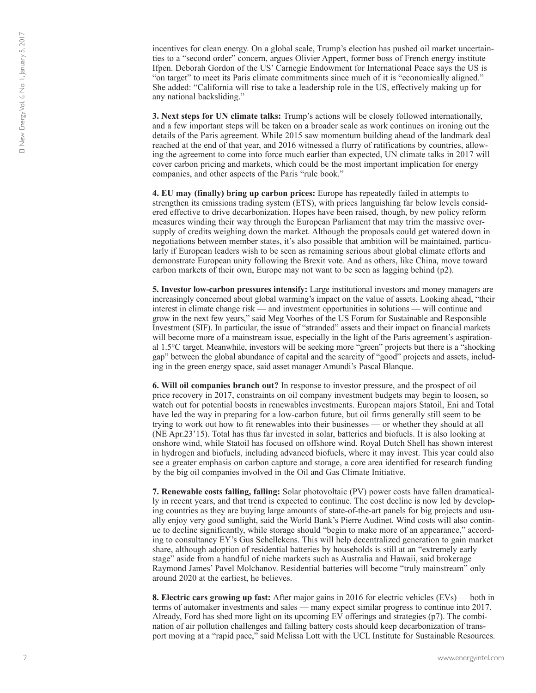incentives for clean energy. On a global scale, Trump's election has pushed oil market uncertainties to a "second order" concern, argues Olivier Appert, former boss of French energy institute Ifpen. Deborah Gordon of the US' Carnegie Endowment for International Peace says the US is "on target" to meet its Paris climate commitments since much of it is "economically aligned." She added: "California will rise to take a leadership role in the US, effectively making up for any national backsliding."

**3. Next steps for UN climate talks:** Trump's actions will be closely followed internationally, and a few important steps will be taken on a broader scale as work continues on ironing out the details of the Paris agreement. While 2015 saw momentum building ahead of the landmark deal reached at the end of that year, and 2016 witnessed a flurry of ratifications by countries, allowing the agreement to come into force much earlier than expected, UN climate talks in 2017 will cover carbon pricing and markets, which could be the most important implication for energy companies, and other aspects of the Paris "rule book."

**4. EU may (finally) bring up carbon prices:** Europe has repeatedly failed in attempts to strengthen its emissions trading system (ETS), with prices languishing far below levels considered effective to drive decarbonization. Hopes have been raised, though, by new policy reform measures winding their way through the European Parliament that may trim the massive oversupply of credits weighing down the market. Although the proposals could get watered down in negotiations between member states, it's also possible that ambition will be maintained, particularly if European leaders wish to be seen as remaining serious about global climate efforts and demonstrate European unity following the Brexit vote. And as others, like China, move toward carbon markets of their own, Europe may not want to be seen as lagging behind (p2).

**5. Investor low-carbon pressures intensify:** Large institutional investors and money managers are increasingly concerned about global warming's impact on the value of assets. Looking ahead, "their interest in climate change risk — and investment opportunities in solutions — will continue and grow in the next few years," said Meg Voorhes of the US Forum for Sustainable and Responsible Investment (SIF). In particular, the issue of "stranded" assets and their impact on financial markets will become more of a mainstream issue, especially in the light of the Paris agreement's aspirational 1.5°C target. Meanwhile, investors will be seeking more "green" projects but there is a "shocking gap" between the global abundance of capital and the scarcity of "good" projects and assets, including in the green energy space, said asset manager Amundi's Pascal Blanque.

**6. Will oil companies branch out?** In response to investor pressure, and the prospect of oil price recovery in 2017, constraints on oil company investment budgets may begin to loosen, so watch out for potential boosts in renewables investments. European majors Statoil, Eni and Total have led the way in preparing for a low-carbon future, but oil firms generally still seem to be trying to work out how to fit renewables into their businesses — or whether they should at all (NE Apr.23'15). Total has thus far invested in solar, batteries and biofuels. It is also looking at onshore wind, while Statoil has focused on offshore wind. Royal Dutch Shell has shown interest in hydrogen and biofuels, including advanced biofuels, where it may invest. This year could also see a greater emphasis on carbon capture and storage, a core area identified for research funding by the big oil companies involved in the Oil and Gas Climate Initiative.

**7. Renewable costs falling, falling:** Solar photovoltaic (PV) power costs have fallen dramatically in recent years, and that trend is expected to continue. The cost decline is now led by developing countries as they are buying large amounts of state-of-the-art panels for big projects and usually enjoy very good sunlight, said the World Bank's Pierre Audinet. Wind costs will also continue to decline significantly, while storage should "begin to make more of an appearance," according to consultancy EY's Gus Schellekens. This will help decentralized generation to gain market share, although adoption of residential batteries by households is still at an "extremely early stage" aside from a handful of niche markets such as Australia and Hawaii, said brokerage Raymond James' Pavel Molchanov. Residential batteries will become "truly mainstream" only around 2020 at the earliest, he believes.

**8. Electric cars growing up fast:** After major gains in 2016 for electric vehicles (EVs) — both in terms of automaker investments and sales — many expect similar progress to continue into 2017. Already, Ford has shed more light on its upcoming EV offerings and strategies (p7). The combination of air pollution challenges and falling battery costs should keep decarbonization of transport moving at a "rapid pace," said Melissa Lott with the UCL Institute for Sustainable Resources.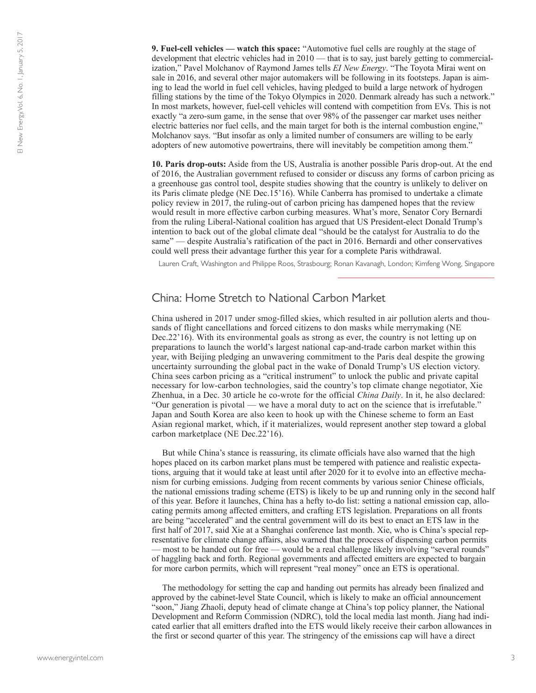**9. Fuel-cell vehicles — watch this space:** "Automotive fuel cells are roughly at the stage of development that electric vehicles had in 2010 — that is to say, just barely getting to commercialization," Pavel Molchanov of Raymond James tells *EI New Energy*. "The Toyota Mirai went on sale in 2016, and several other major automakers will be following in its footsteps. Japan is aiming to lead the world in fuel cell vehicles, having pledged to build a large network of hydrogen filling stations by the time of the Tokyo Olympics in 2020. Denmark already has such a network." In most markets, however, fuel-cell vehicles will contend with competition from EVs. This is not exactly "a zero-sum game, in the sense that over 98% of the passenger car market uses neither electric batteries nor fuel cells, and the main target for both is the internal combustion engine," Molchanov says. "But insofar as only a limited number of consumers are willing to be early adopters of new automotive powertrains, there will inevitably be competition among them."

**10. Paris drop-outs:** Aside from the US, Australia is another possible Paris drop-out. At the end of 2016, the Australian government refused to consider or discuss any forms of carbon pricing as a greenhouse gas control tool, despite studies showing that the country is unlikely to deliver on its Paris climate pledge (NE Dec.15'16). While Canberra has promised to undertake a climate policy review in 2017, the ruling-out of carbon pricing has dampened hopes that the review would result in more effective carbon curbing measures. What's more, Senator Cory Bernardi from the ruling Liberal-National coalition has argued that US President-elect Donald Trump's intention to back out of the global climate deal "should be the catalyst for Australia to do the same" — despite Australia's ratification of the pact in 2016. Bernardi and other conservatives could well press their advantage further this year for a complete Paris withdrawal.

Lauren Craft, Washington and Philippe Roos, Strasbourg; Ronan Kavanagh, London; Kimfeng Wong, Singapore

#### China: Home Stretch to National Carbon Market

China ushered in 2017 under smog-filled skies, which resulted in air pollution alerts and thousands of flight cancellations and forced citizens to don masks while merrymaking (NE Dec.22'16). With its environmental goals as strong as ever, the country is not letting up on preparations to launch the world's largest national cap-and-trade carbon market within this year, with Beijing pledging an unwavering commitment to the Paris deal despite the growing uncertainty surrounding the global pact in the wake of Donald Trump's US election victory. China sees carbon pricing as a "critical instrument" to unlock the public and private capital necessary for low-carbon technologies, said the country's top climate change negotiator, Xie Zhenhua, in a Dec. 30 article he co-wrote for the official *China Daily*. In it, he also declared: "Our generation is pivotal — we have a moral duty to act on the science that is irrefutable." Japan and South Korea are also keen to hook up with the Chinese scheme to form an East Asian regional market, which, if it materializes, would represent another step toward a global carbon marketplace (NE Dec.22'16).

But while China's stance is reassuring, its climate officials have also warned that the high hopes placed on its carbon market plans must be tempered with patience and realistic expectations, arguing that it would take at least until after 2020 for it to evolve into an effective mechanism for curbing emissions. Judging from recent comments by various senior Chinese officials, the national emissions trading scheme (ETS) is likely to be up and running only in the second half of this year. Before it launches, China has a hefty to-do list: setting a national emission cap, allocating permits among affected emitters, and crafting ETS legislation. Preparations on all fronts are being "accelerated" and the central government will do its best to enact an ETS law in the first half of 2017, said Xie at a Shanghai conference last month. Xie, who is China's special representative for climate change affairs, also warned that the process of dispensing carbon permits — most to be handed out for free — would be a real challenge likely involving "several rounds" of haggling back and forth. Regional governments and affected emitters are expected to bargain for more carbon permits, which will represent "real money" once an ETS is operational.

The methodology for setting the cap and handing out permits has already been finalized and approved by the cabinet-level State Council, which is likely to make an official announcement "soon," Jiang Zhaoli, deputy head of climate change at China's top policy planner, the National Development and Reform Commission (NDRC), told the local media last month. Jiang had indicated earlier that all emitters drafted into the ETS would likely receive their carbon allowances in the first or second quarter of this year. The stringency of the emissions cap will have a direct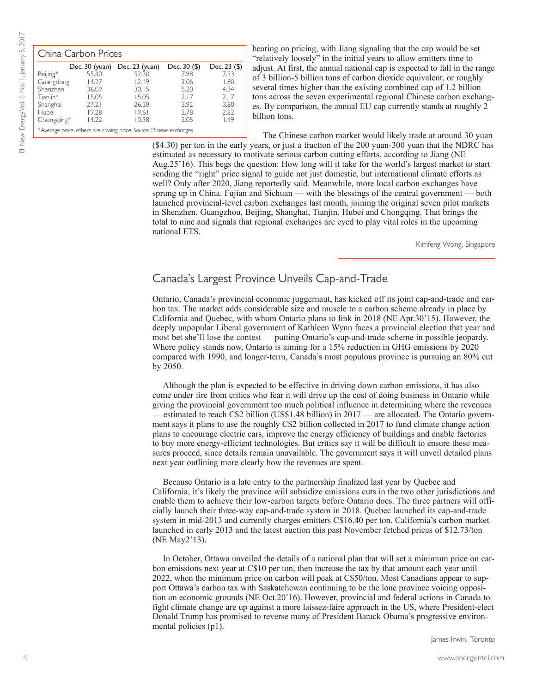| China Carbon Prices |       |                                                                     |                |              |  |
|---------------------|-------|---------------------------------------------------------------------|----------------|--------------|--|
|                     |       | Dec. 30 (yuan) Dec. 23 (yuan)                                       | Dec. $30($ \$) | Dec. 23 (\$) |  |
| Beijing*            | 55.40 | 52.30                                                               | 7.98           | 7.53         |  |
| Guangdong           | 14.27 | 12.49                                                               | 2.06           | 1.80         |  |
| Shenzhen            | 36.09 | 30.15                                                               | 5.20           | 4.34         |  |
| Tianjin*            | 15.05 | 15.05                                                               | 2.17           | 2.17         |  |
| Shanghai            | 27.21 | 26.38                                                               | 3.92           | 3.80         |  |
| Hubei               | 19.28 | 19.61                                                               | 2.78           | 2.82         |  |
| Chongqing*          | 14.22 | 10.38                                                               | 2.05           | 1.49         |  |
|                     |       | *Average price, others are closing price. Source: Chinese exchanges |                |              |  |

bearing on pricing, with Jiang signaling that the cap would be set "relatively loosely" in the initial years to allow emitters time to adjust. At first, the annual national cap is expected to fall in the range of 3 billion-5 billion tons of carbon dioxide equivalent, or roughly several times higher than the existing combined cap of 1.2 billion tons across the seven experimental regional Chinese carbon exchanges. By comparison, the annual EU cap currently stands at roughly 2 billion tons.

The Chinese carbon market would likely trade at around 30 yuan

(\$4.30) per ton in the early years, or just a fraction of the 200 yuan-300 yuan that the NDRC has estimated as necessary to motivate serious carbon cutting efforts, according to Jiang (NE Aug.25'16). This begs the question: How long will it take for the world's largest market to start sending the "right" price signal to guide not just domestic, but international climate efforts as well? Only after 2020, Jiang reportedly said. Meanwhile, more local carbon exchanges have sprung up in China. Fujian and Sichuan — with the blessings of the central government — both launched provincial-level carbon exchanges last month, joining the original seven pilot markets in Shenzhen, Guangzhou, Beijing, Shanghai, Tianjin, Hubei and Chongqing. That brings the total to nine and signals that regional exchanges are eyed to play vital roles in the upcoming national ETS.

Kimfeng Wong, Singapore

#### Canada's Largest Province Unveils Cap-and-Trade

Ontario, Canada's provincial economic juggernaut, has kicked off its joint cap-and-trade and carbon tax. The market adds considerable size and muscle to a carbon scheme already in place by California and Quebec, with whom Ontario plans to link in 2018 (NE Apr.30'15). However, the deeply unpopular Liberal government of Kathleen Wynn faces a provincial election that year and most bet she'll lose the contest — putting Ontario's cap-and-trade scheme in possible jeopardy. Where policy stands now, Ontario is aiming for a 15% reduction in GHG emissions by 2020 compared with 1990, and longer-term, Canada's most populous province is pursuing an 80% cut by 2050.

Although the plan is expected to be effective in driving down carbon emissions, it has also come under fire from critics who fear it will drive up the cost of doing business in Ontario while giving the provincial government too much political influence in determining where the revenues — estimated to reach C\$2 billion (US\$1.48 billion) in 2017 — are allocated. The Ontario government says it plans to use the roughly C\$2 billion collected in 2017 to fund climate change action plans to encourage electric cars, improve the energy efficiency of buildings and enable factories to buy more energy-efficient technologies. But critics say it will be difficult to ensure these measures proceed, since details remain unavailable. The government says it will unveil detailed plans next year outlining more clearly how the revenues are spent.

Because Ontario is a late entry to the partnership finalized last year by Quebec and California, it's likely the province will subsidize emissions cuts in the two other jurisdictions and enable them to achieve their low-carbon targets before Ontario does. The three partners will officially launch their three-way cap-and-trade system in 2018. Quebec launched its cap-and-trade system in mid-2013 and currently charges emitters C\$16.40 per ton. California's carbon market launched in early 2013 and the latest auction this past November fetched prices of \$12.73/ton (NE May2'13).

In October, Ottawa unveiled the details of a national plan that will set a minimum price on carbon emissions next year at C\$10 per ton, then increase the tax by that amount each year until 2022, when the minimum price on carbon will peak at C\$50/ton. Most Canadians appear to support Ottawa's carbon tax with Saskatchewan continuing to be the lone province voicing opposition on economic grounds (NE Oct.20'16). However, provincial and federal actions in Canada to fight climate change are up against a more laissez-faire approach in the US, where President-elect Donald Trump has promised to reverse many of President Barack Obama's progressive environmental policies (p1).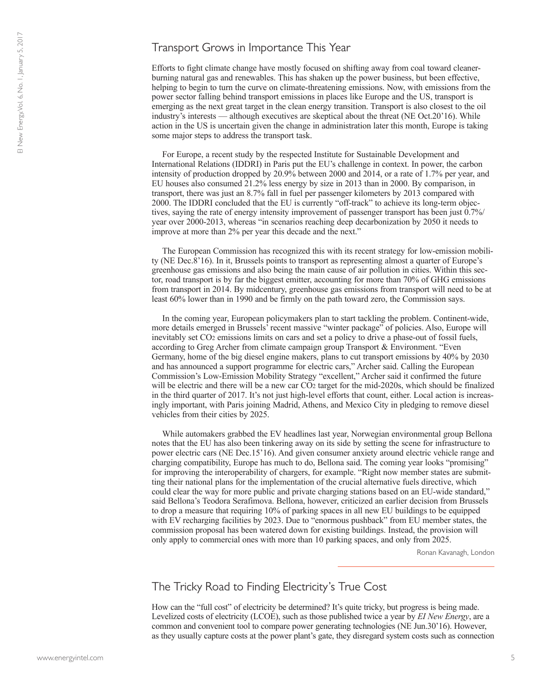#### Transport Grows in Importance This Year

Efforts to fight climate change have mostly focused on shifting away from coal toward cleanerburning natural gas and renewables. This has shaken up the power business, but been effective, helping to begin to turn the curve on climate-threatening emissions. Now, with emissions from the power sector falling behind transport emissions in places like Europe and the US, transport is emerging as the next great target in the clean energy transition. Transport is also closest to the oil industry's interests — although executives are skeptical about the threat (NE Oct.20'16). While action in the US is uncertain given the change in administration later this month, Europe is taking some major steps to address the transport task.

For Europe, a recent study by the respected Institute for Sustainable Development and International Relations (IDDRI) in Paris put the EU's challenge in context. In power, the carbon intensity of production dropped by 20.9% between 2000 and 2014, or a rate of 1.7% per year, and EU houses also consumed 21.2% less energy by size in 2013 than in 2000. By comparison, in transport, there was just an 8.7% fall in fuel per passenger kilometers by 2013 compared with 2000. The IDDRI concluded that the EU is currently "off-track" to achieve its long-term objectives, saying the rate of energy intensity improvement of passenger transport has been just 0.7%/ year over 2000-2013, whereas "in scenarios reaching deep decarbonization by 2050 it needs to improve at more than 2% per year this decade and the next."

The European Commission has recognized this with its recent strategy for low-emission mobility (NE Dec.8'16). In it, Brussels points to transport as representing almost a quarter of Europe's greenhouse gas emissions and also being the main cause of air pollution in cities. Within this sector, road transport is by far the biggest emitter, accounting for more than 70% of GHG emissions from transport in 2014. By midcentury, greenhouse gas emissions from transport will need to be at least 60% lower than in 1990 and be firmly on the path toward zero, the Commission says.

In the coming year, European policymakers plan to start tackling the problem. Continent-wide, more details emerged in Brussels' recent massive "winter package" of policies. Also, Europe will inevitably set CO2 emissions limits on cars and set a policy to drive a phase-out of fossil fuels, according to Greg Archer from climate campaign group Transport & Environment. "Even Germany, home of the big diesel engine makers, plans to cut transport emissions by 40% by 2030 and has announced a support programme for electric cars," Archer said. Calling the European Commission's Low-Emission Mobility Strategy "excellent," Archer said it confirmed the future will be electric and there will be a new car CO<sub>2</sub> target for the mid-2020s, which should be finalized in the third quarter of 2017. It's not just high-level efforts that count, either. Local action is increasingly important, with Paris joining Madrid, Athens, and Mexico City in pledging to remove diesel vehicles from their cities by 2025.

While automakers grabbed the EV headlines last year, Norwegian environmental group Bellona notes that the EU has also been tinkering away on its side by setting the scene for infrastructure to power electric cars (NE Dec.15'16). And given consumer anxiety around electric vehicle range and charging compatibility, Europe has much to do, Bellona said. The coming year looks "promising" for improving the interoperability of chargers, for example. "Right now member states are submitting their national plans for the implementation of the crucial alternative fuels directive, which could clear the way for more public and private charging stations based on an EU-wide standard," said Bellona's Teodora Serafimova. Bellona, however, criticized an earlier decision from Brussels to drop a measure that requiring 10% of parking spaces in all new EU buildings to be equipped with EV recharging facilities by 2023. Due to "enormous pushback" from EU member states, the commission proposal has been watered down for existing buildings. Instead, the provision will only apply to commercial ones with more than 10 parking spaces, and only from 2025.

Ronan Kavanagh, London

## The Tricky Road to Finding Electricity's True Cost

How can the "full cost" of electricity be determined? It's quite tricky, but progress is being made. Levelized costs of electricity (LCOE), such as those published twice a year by *EI New Energy*, are a common and convenient tool to compare power generating technologies (NE Jun.30'16). However, as they usually capture costs at the power plant's gate, they disregard system costs such as connection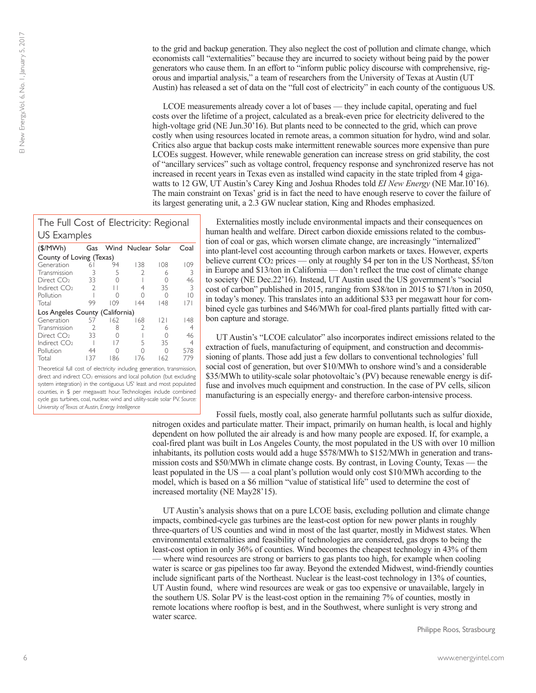to the grid and backup generation. They also neglect the cost of pollution and climate change, which economists call "externalities" because they are incurred to society without being paid by the power generators who cause them. In an effort to "inform public policy discourse with comprehensive, rigorous and impartial analysis," a team of researchers from the University of Texas at Austin (UT Austin) has released a set of data on the "full cost of electricity" in each county of the contiguous US.

LCOE measurements already cover a lot of bases — they include capital, operating and fuel costs over the lifetime of a project, calculated as a break-even price for electricity delivered to the high-voltage grid (NE Jun.30'16). But plants need to be connected to the grid, which can prove costly when using resources located in remote areas, a common situation for hydro, wind and solar. Critics also argue that backup costs make intermittent renewable sources more expensive than pure LCOEs suggest. However, while renewable generation can increase stress on grid stability, the cost of "ancillary services" such as voltage control, frequency response and synchronized reserve has not increased in recent years in Texas even as installed wind capacity in the state tripled from 4 gigawatts to 12 GW, UT Austin's Carey King and Joshua Rhodes told *EI New Energy* (NE Mar.10'16). The main constraint on Texas' grid is in fact the need to have enough reserve to cover the failure of its largest generating unit, a 2.3 GW nuclear station, King and Rhodes emphasized.

# The Full Cost of Electricity: Regional US Examples

| (\$/MWh)                        | Gas           |     | Wind Nuclear Solar |     | Coal |
|---------------------------------|---------------|-----|--------------------|-----|------|
| County of Loving (Texas)        |               |     |                    |     |      |
| Generation                      | 61            | 94  | 138                | 108 | 109  |
| Transmission                    |               | 5   | V                  | 6   | 3    |
| Direct CO <sub>2</sub>          | 33            |     |                    | Ω   | 46   |
| Indirect CO <sub>2</sub>        | $\mathcal{L}$ |     | 4                  | 35  | 3    |
| Pollution                       |               |     |                    | Ω   | 10   |
| Total                           | 99            | 109 | 144                | 148 | 7    |
| Los Angeles County (California) |               |     |                    |     |      |
| Generation                      | 57            | 162 | 168                | 2   | 148  |
| Transmission                    | $\mathcal{P}$ | 8   | $\mathfrak{D}$     | 6   | 4    |
| Direct CO <sub>2</sub>          | 33            |     |                    | Ω   | 46   |
| Indirect CO <sub>2</sub>        |               | 17  | 5                  | 35  | 4    |
| Pollution                       | 44            |     |                    | Ω   | 578  |
| Total                           | 137           | 186 | 176                | 162 | 779  |

Theoretical full cost of electricity including generation, transmission, direct and indirect CO<sub>2</sub> emissions and local pollution (but excluding system integration) in the contiguous US' least and most populated counties, in \$ per megawatt hour. Technologies include combined cycle gas turbines, coal, nuclear, wind and utility-scale solar PV. *Source: University of Texas at Austin, Energy Intelligence*

Externalities mostly include environmental impacts and their consequences on human health and welfare. Direct carbon dioxide emissions related to the combustion of coal or gas, which worsen climate change, are increasingly "internalized" into plant-level cost accounting through carbon markets or taxes. However, experts believe current CO2 prices — only at roughly \$4 per ton in the US Northeast, \$5/ton in Europe and \$13/ton in California — don't reflect the true cost of climate change to society (NE Dec.22'16). Instead, UT Austin used the US government's "social cost of carbon" published in 2015, ranging from \$38/ton in 2015 to \$71/ton in 2050, in today's money. This translates into an additional \$33 per megawatt hour for combined cycle gas turbines and \$46/MWh for coal-fired plants partially fitted with carbon capture and storage.

UT Austin's "LCOE calculator" also incorporates indirect emissions related to the extraction of fuels, manufacturing of equipment, and construction and decommissioning of plants. Those add just a few dollars to conventional technologies' full social cost of generation, but over \$10/MWh to onshore wind's and a considerable \$35/MWh to utility-scale solar photovoltaic's (PV) because renewable energy is diffuse and involves much equipment and construction. In the case of PV cells, silicon manufacturing is an especially energy- and therefore carbon-intensive process.

Fossil fuels, mostly coal, also generate harmful pollutants such as sulfur dioxide, nitrogen oxides and particulate matter. Their impact, primarily on human health, is local and highly dependent on how polluted the air already is and how many people are exposed. If, for example, a coal-fired plant was built in Los Angeles County, the most populated in the US with over 10 million inhabitants, its pollution costs would add a huge \$578/MWh to \$152/MWh in generation and transmission costs and \$50/MWh in climate change costs. By contrast, in Loving County, Texas — the least populated in the US — a coal plant's pollution would only cost \$10/MWh according to the model, which is based on a \$6 million "value of statistical life" used to determine the cost of increased mortality (NE May28'15).

UT Austin's analysis shows that on a pure LCOE basis, excluding pollution and climate change impacts, combined-cycle gas turbines are the least-cost option for new power plants in roughly three-quarters of US counties and wind in most of the last quarter, mostly in Midwest states. When environmental externalities and feasibility of technologies are considered, gas drops to being the least-cost option in only 36% of counties. Wind becomes the cheapest technology in 43% of them — where wind resources are strong or barriers to gas plants too high, for example when cooling water is scarce or gas pipelines too far away. Beyond the extended Midwest, wind-friendly counties include significant parts of the Northeast. Nuclear is the least-cost technology in 13% of counties, UT Austin found, where wind resources are weak or gas too expensive or unavailable, largely in the southern US. Solar PV is the least-cost option in the remaining 7% of counties, mostly in remote locations where rooftop is best, and in the Southwest, where sunlight is very strong and water scarce.

Philippe Roos, Strasbourg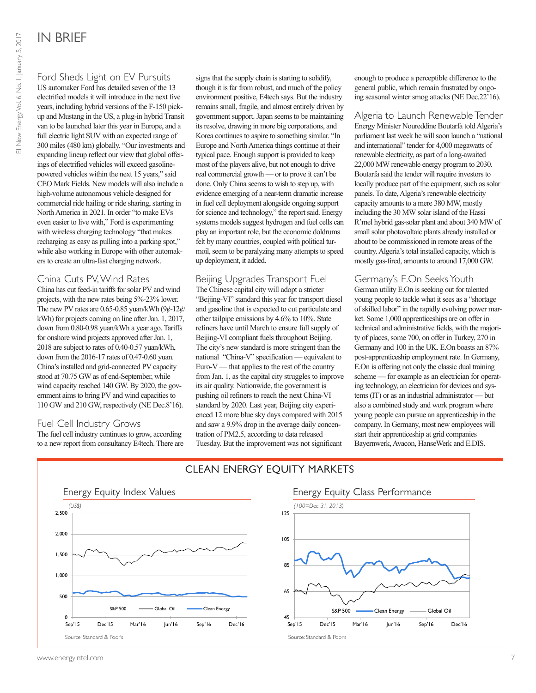Ford Sheds Light on EV Pursuits US automaker Ford has detailed seven of the 13 electrified models it will introduce in the next five years, including hybrid versions of the F-150 pickup and Mustang in the US, a plug-in hybrid Transit van to be launched later this year in Europe, and a full electric light SUV with an expected range of 300 miles (480 km) globally. "Our investments and expanding lineup reflect our view that global offerings of electrified vehicles will exceed gasolinepowered vehicles within the next 15 years," said CEO Mark Fields. New models will also include a high-volume autonomous vehicle designed for commercial ride hailing or ride sharing, starting in North America in 2021. In order "to make EVs even easier to live with," Ford is experimenting with wireless charging technology "that makes recharging as easy as pulling into a parking spot," while also working in Europe with other automakers to create an ultra-fast charging network.

#### China Cuts PV, Wind Rates

China has cut feed-in tariffs for solar PV and wind projects, with the new rates being 5%-23% lower. The new PV rates are 0.65-0.85 yuan/kWh  $(9¢-12¢/$ kWh) for projects coming on line after Jan. 1, 2017, down from 0.80-0.98 yuan/kWh a year ago. Tariffs for onshore wind projects approved after Jan. 1, 2018 are subject to rates of 0.40-0.57 yuan/kWh, down from the 2016-17 rates of 0.47-0.60 yuan. China's installed and grid-connected PV capacity stood at 70.75 GW as of end-September, while wind capacity reached 140 GW. By 2020, the government aims to bring PV and wind capacities to 110 GW and 210 GW, respectively (NE Dec.8'16).

#### Fuel Cell Industry Grows

The fuel cell industry continues to grow, according to a new report from consultancy E4tech. There are

signs that the supply chain is starting to solidify, though it is far from robust, and much of the policy environment positive, E4tech says. But the industry remains small, fragile, and almost entirely driven by government support. Japan seems to be maintaining its resolve, drawing in more big corporations, and Korea continues to aspire to something similar. "In Europe and North America things continue at their typical pace. Enough support is provided to keep most of the players alive, but not enough to drive real commercial growth — or to prove it can't be done. Only China seems to wish to step up, with evidence emerging of a near-term dramatic increase in fuel cell deployment alongside ongoing support for science and technology," the report said. Energy systems models suggest hydrogen and fuel cells can play an important role, but the economic doldrums felt by many countries, coupled with political turmoil, seem to be paralyzing many attempts to speed up deployment, it added.

#### Beijing Upgrades Transport Fuel

The Chinese capital city will adopt a stricter "Beijing-VI" standard this year for transport diesel and gasoline that is expected to cut particulate and other tailpipe emissions by 4.6% to 10%. State refiners have until March to ensure full supply of Beijing-VI compliant fuels throughout Beijing. The city's new standard is more stringent than the national "China-V" specification — equivalent to Euro-V — that applies to the rest of the country from Jan. 1, as the capital city struggles to improve its air quality. Nationwide, the government is pushing oil refiners to reach the next China-VI standard by 2020. Last year, Beijing city experienced 12 more blue sky days compared with 2015 and saw a 9.9% drop in the average daily concentration of PM2.5, according to data released Tuesday. But the improvement was not significant

enough to produce a perceptible difference to the general public, which remain frustrated by ongoing seasonal winter smog attacks (NE Dec.22'16).

Algeria to Launch Renewable Tender Energy Minister Noureddine Boutarfa told Algeria's parliament last week he will soon launch a "national and international" tender for 4,000 megawatts of renewable electricity, as part of a long-awaited 22,000 MW renewable energy program to 2030. Boutarfa said the tender will require investors to locally produce part of the equipment, such as solar panels. To date, Algeria's renewable electricity capacity amounts to a mere 380 MW, mostly including the 30 MW solar island of the Hassi R'mel hybrid gas-solar plant and about 340 MW of small solar photovoltaic plants already installed or about to be commissioned in remote areas of the country. Algeria's total installed capacity, which is mostly gas-fired, amounts to around 17,000 GW.

#### Germany's E.On Seeks Youth

German utility E.On is seeking out for talented young people to tackle what it sees as a "shortage of skilled labor" in the rapidly evolving power market. Some 1,000 apprenticeships are on offer in technical and administrative fields, with the majority of places, some 700, on offer in Turkey, 270 in Germany and 100 in the UK. E.On boasts an 87% post-apprenticeship employment rate. In Germany, E.On is offering not only the classic dual training scheme — for example as an electrician for operating technology, an electrician for devices and systems (IT) or as an industrial administrator — but also a combined study and work program where young people can pursue an apprenticeship in the company. In Germany, most new employees will start their apprenticeship at grid companies Bayernwerk, Avacon, HanseWerk and E.DIS.



# CLEAN ENERGY EQUITY MARKETS

## **Energy Equity Class Performance** Energy Equity Class Performance **Energy Equity Class Performance**